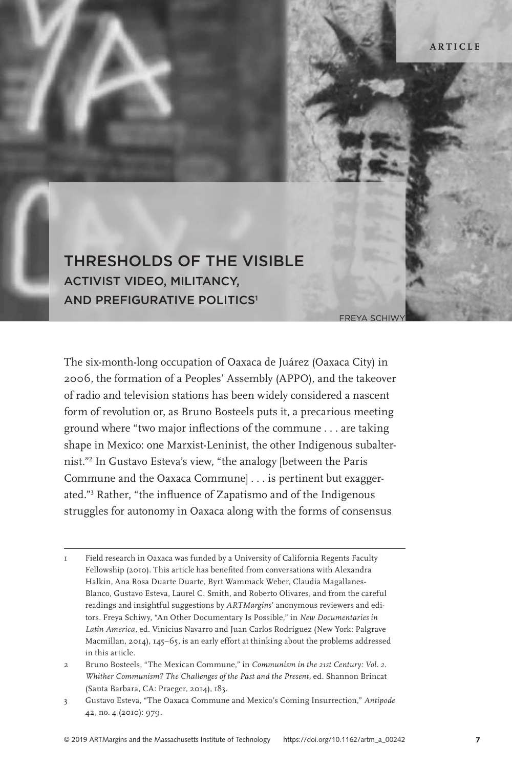## THresHolds of THe Visible acTiVisT Video, MiliTancY, and PrefiguraTiVe PoliTics1

freya schiwy

The six-month-long occupation of Oaxaca de Juárez (Oaxaca City) in 2006, the formation of a Peoples' Assembly (APPO), and the takeover of radio and television stations has been widely considered a nascent form of revolution or, as Bruno Bosteels puts it, a precarious meeting ground where "two major inflections of the commune . . . are taking shape in Mexico: one Marxist-Leninist, the other Indigenous subalternist."<sup>2</sup> In Gustavo Esteva's view, "the analogy [between the Paris Commune and the Oaxaca Commune] . . . is pertinent but exaggerated."<sup>3</sup> Rather, "the influence of Zapatismo and of the Indigenous struggles for autonomy in Oaxaca along with the forms of consensus

<sup>1</sup> Field research in Oaxaca was funded by a University of California Regents Faculty Fellowship (2010). This article has benefited from conversations with Alexandra Halkin, Ana Rosa Duarte Duarte, Byrt Wammack Weber, Claudia Magallanes-Blanco, Gustavo Esteva, Laurel C. Smith, and Roberto Olivares, and from the careful readings and insightful suggestions by *ARTMargins*' anonymous reviewers and editors. Freya Schiwy, "An Other Documentary Is Possible," in *New Documentaries in Latin America*, ed. Vinicius Navarro and Juan Carlos Rodríguez (New York: Palgrave Macmillan, 2014), 145–65, is an early effort at thinking about the problems addressed in this article.

<sup>2</sup> Bruno Bosteels, "The Mexican Commune," in *Communism in the 21st Century: Vol. 2. Whither Communism? The Challenges of the Past and the Present*, ed. Shannon Brincat (Santa Barbara, CA: Praeger, 2014), 183.

<sup>3</sup> Gustavo Esteva, "The Oaxaca Commune and Mexico's Coming Insurrection," *Antipode* 42, no. 4 (2010): 979.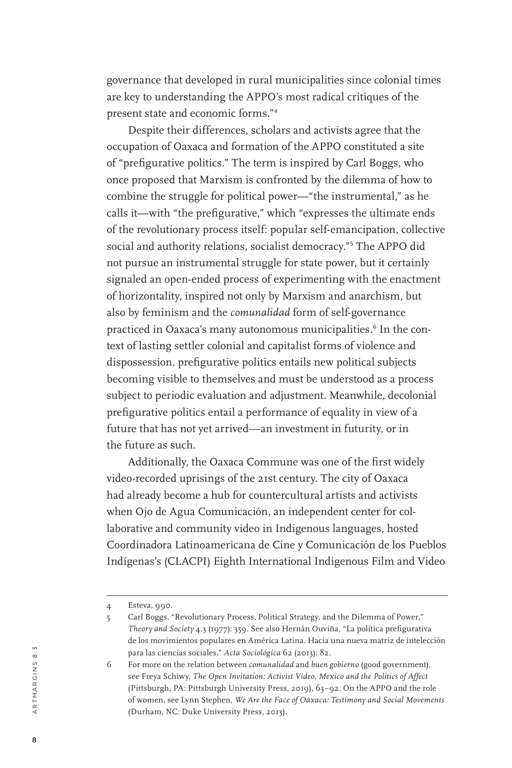governance that developed in rural municipalities since colonial times are key to understanding the APPO's most radical critiques of the present state and economic forms."<sup>4</sup>

Despite their differences, scholars and activists agree that the occupation of Oaxaca and formation of the APPO constituted a site of "prefigurative politics." The term is inspired by Carl Boggs, who once proposed that Marxism is confronted by the dilemma of how to combine the struggle for political power—"the instrumental," as he calls it—with "the prefigurative," which "expresses the ultimate ends of the revolutionary process itself: popular self-emancipation, collective social and authority relations, socialist democracy."<sup>5</sup> The APPO did not pursue an instrumental struggle for state power, but it certainly signaled an open-ended process of experimenting with the enactment of horizontality, inspired not only by Marxism and anarchism, but also by feminism and the *comunalidad* form of self-governance practiced in Oaxaca's many autonomous municipalities.<sup>6</sup> In the context of lasting settler colonial and capitalist forms of violence and dispossession, prefigurative politics entails new political subjects becoming visible to themselves and must be understood as a process subject to periodic evaluation and adjustment. Meanwhile, decolonial prefigurative politics entail a performance of equality in view of a future that has not yet arrived—an investment in futurity, or in the future as such.

Additionally, the Oaxaca Commune was one of the first widely video-recorded uprisings of the 21st century. The city of Oaxaca had already become a hub for countercultural artists and activists when Ojo de Agua Comunicación, an independent center for collaborative and community video in Indigenous languages, hosted Coordinadora Latinoamericana de Cine y Comunicación de los Pueblos Indígenas's (CLACPI) Eighth International Indigenous Film and Video

8

<sup>4</sup> Esteva, 990.

<sup>5</sup> Carl Boggs, "Revolutionary Process, Political Strategy, and the Dilemma of Power," *Theory and Society* 4.3 (1977): 359. See also Hernán Ouviña, "La política prefigurativa de los movimientos populares en América Latina. Hacia una nueva matriz de intelección para las ciencias sociales," *Acta Sociológica* 62 (2013): 82.

<sup>6</sup> For more on the relation between *comunalidad* and *buen gobierno* (good government), see Freya Schiwy, *The Open Invitation: Activist Video, Mexico and the Politics of Affect* (Pittsburgh, PA: Pittsburgh University Press, 2019), 63–92. On the APPO and the role of women, see Lynn Stephen, *We Are the Face of Oaxaca: Testimony and Social Movements* (Durham, NC: Duke University Press, 2013).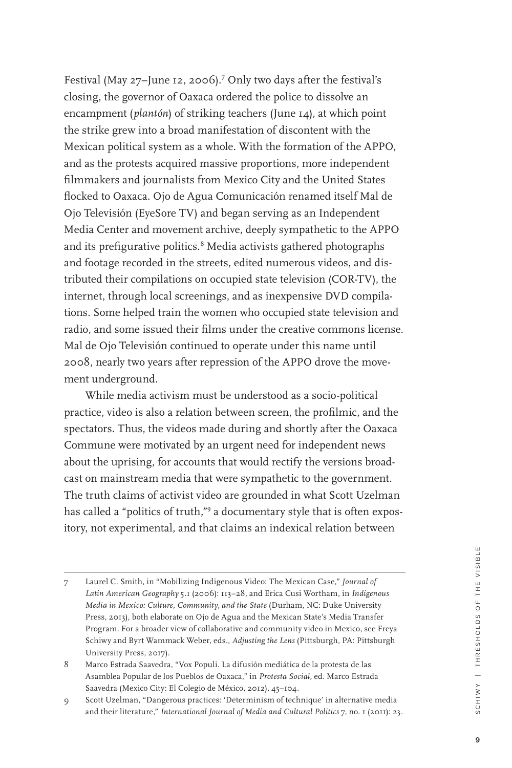Festival (May 27-June 12, 2006).<sup>7</sup> Only two days after the festival's closing, the governor of Oaxaca ordered the police to dissolve an encampment *(plantón)* of striking teachers *(June 14)*, at which point the strike grew into a broad manifestation of discontent with the Mexican political system as a whole. With the formation of the APPO, and as the protests acquired massive proportions, more independent filmmakers and journalists from Mexico City and the United States flocked to Oaxaca. Ojo de Agua Comunicación renamed itself Mal de Ojo Televisión (EyeSore TV) and began serving as an Independent Media Center and movement archive, deeply sympathetic to the APPO and its prefigurative politics.<sup>8</sup> Media activists gathered photographs and footage recorded in the streets, edited numerous videos, and distributed their compilations on occupied state television (COR-TV), the internet, through local screenings, and as inexpensive DVD compilations. Some helped train the women who occupied state television and radio, and some issued their films under the creative commons license. Mal de Ojo Televisión continued to operate under this name until 2008, nearly two years after repression of the APPO drove the movement underground.

While media activism must be understood as a socio-political practice, video is also a relation between screen, the profilmic, and the spectators. Thus, the videos made during and shortly after the Oaxaca Commune were motivated by an urgent need for independent news about the uprising, for accounts that would rectify the versions broadcast on mainstream media that were sympathetic to the government. The truth claims of activist video are grounded in what Scott Uzelman has called a "politics of truth,"<sup>9</sup> a documentary style that is often expository, not experimental, and that claims an indexical relation between

<sup>7</sup> Laurel C. Smith, in "Mobilizing Indigenous Video: The Mexican Case," *Journal of Latin American Geography* 5.1 (2006): 113–28, and Erica Cusi Wortham, in *Indigenous Media in Mexico: Culture, Community, and the State* (Durham, NC: Duke University Press, 2013), both elaborate on Ojo de Agua and the Mexican State's Media Transfer Program. For a broader view of collaborative and community video in Mexico, see Freya Schiwy and Byrt Wammack Weber, eds., *Adjusting the Lens* (Pittsburgh, PA: Pittsburgh University Press, 2017).

<sup>8</sup> Marco Estrada Saavedra, "Vox Populi. La difusión mediática de la protesta de las Asamblea Popular de los Pueblos de Oaxaca," in *Protesta Social*, ed. Marco Estrada Saavedra (Mexico City: El Colegio de México, 2012), 45–104.

<sup>9</sup> Scott Uzelman, "Dangerous practices: 'Determinism of technique' in alternative media and their literature," *International Journal of Media and Cultural Politics* 7, no. 1 (2011): 23.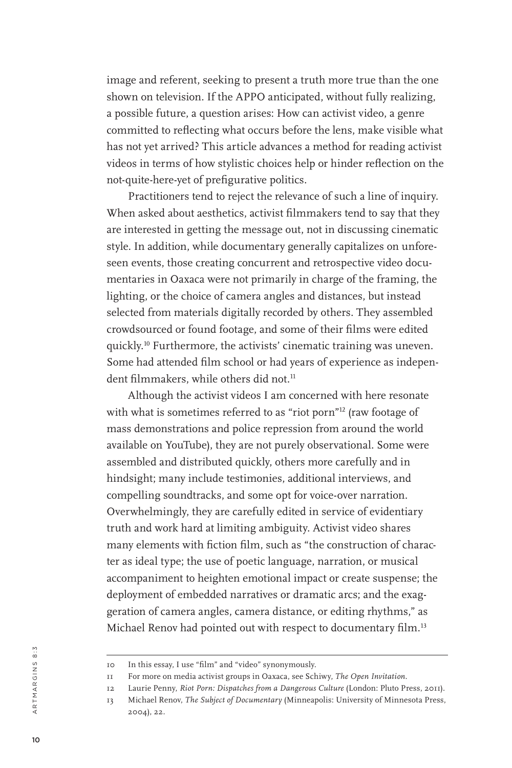image and referent, seeking to present a truth more true than the one shown on television. If the APPO anticipated, without fully realizing, a possible future, a question arises: How can activist video, a genre committed to reflecting what occurs before the lens, make visible what has not yet arrived? This article advances a method for reading activist videos in terms of how stylistic choices help or hinder reflection on the not-quite-here-yet of prefigurative politics.

Practitioners tend to reject the relevance of such a line of inquiry. When asked about aesthetics, activist filmmakers tend to say that they are interested in getting the message out, not in discussing cinematic style. In addition, while documentary generally capitalizes on unforeseen events, those creating concurrent and retrospective video documentaries in Oaxaca were not primarily in charge of the framing, the lighting, or the choice of camera angles and distances, but instead selected from materials digitally recorded by others. They assembled crowdsourced or found footage, and some of their films were edited quickly.<sup>10</sup> Furthermore, the activists' cinematic training was uneven. Some had attended film school or had years of experience as independent filmmakers, while others did not.<sup>11</sup>

Although the activist videos I am concerned with here resonate with what is sometimes referred to as "riot porn"<sup>12</sup> (raw footage of mass demonstrations and police repression from around the world available on YouTube), they are not purely observational. Some were assembled and distributed quickly, others more carefully and in hindsight; many include testimonies, additional interviews, and compelling soundtracks, and some opt for voice-over narration. Overwhelmingly, they are carefully edited in service of evidentiary truth and work hard at limiting ambiguity. Activist video shares many elements with fiction film, such as "the construction of character as ideal type; the use of poetic language, narration, or musical accompaniment to heighten emotional impact or create suspense; the deployment of embedded narratives or dramatic arcs; and the exaggeration of camera angles, camera distance, or editing rhythms," as Michael Renov had pointed out with respect to documentary film.<sup>13</sup>

<sup>10</sup> In this essay, I use "film" and "video" synonymously.

<sup>11</sup> For more on media activist groups in Oaxaca, see Schiwy, *The Open Invitation*.

<sup>12</sup> Laurie Penny, *Riot Porn: Dispatches from a Dangerous Culture* (London: Pluto Press, 2011).

<sup>13</sup> Michael Renov, *The Subject of Documentary* (Minneapolis: University of Minnesota Press, 2004), 22.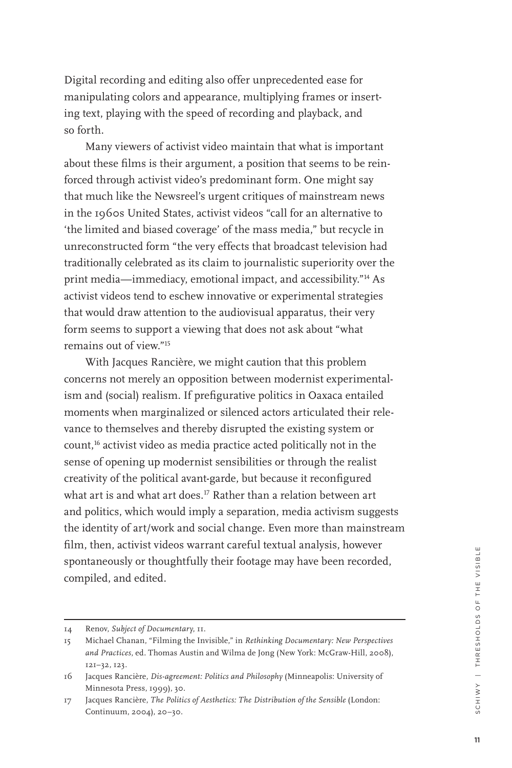Digital recording and editing also offer unprecedented ease for manipulating colors and appearance, multiplying frames or inserting text, playing with the speed of recording and playback, and so forth.

Many viewers of activist video maintain that what is important about these films is their argument, a position that seems to be reinforced through activist video's predominant form. One might say that much like the Newsreel's urgent critiques of mainstream news in the 1960s United States, activist videos "call for an alternative to 'the limited and biased coverage' of the mass media," but recycle in unreconstructed form "the very effects that broadcast television had traditionally celebrated as its claim to journalistic superiority over the print media—immediacy, emotional impact, and accessibility."<sup>14</sup> As activist videos tend to eschew innovative or experimental strategies that would draw attention to the audiovisual apparatus, their very form seems to support a viewing that does not ask about "what remains out of view."<sup>15</sup>

With Jacques Rancière, we might caution that this problem concerns not merely an opposition between modernist experimentalism and (social) realism. If prefigurative politics in Oaxaca entailed moments when marginalized or silenced actors articulated their relevance to themselves and thereby disrupted the existing system or count,<sup>16</sup> activist video as media practice acted politically not in the sense of opening up modernist sensibilities or through the realist creativity of the political avant-garde, but because it reconfigured what art is and what art does.<sup>17</sup> Rather than a relation between art and politics, which would imply a separation, media activism suggests the identity of art/work and social change. Even more than mainstream film, then, activist videos warrant careful textual analysis, however spontaneously or thoughtfully their footage may have been recorded, compiled, and edited.

<sup>14</sup> Renov, *Subject of Documentary*, 11.

<sup>15</sup> Michael Chanan, "Filming the Invisible," in *Rethinking Documentary: New Perspectives and Practices*, ed. Thomas Austin and Wilma de Jong (New York: McGraw-Hill, 2008), 121–32, 123.

<sup>16</sup> Jacques Rancière, *Dis-agreement: Politics and Philosophy* (Minneapolis: University of Minnesota Press, 1999), 30.

<sup>17</sup> Jacques Rancière, *The Politics of Aesthetics: The Distribution of the Sensible* (London: Continuum, 2004), 20–30.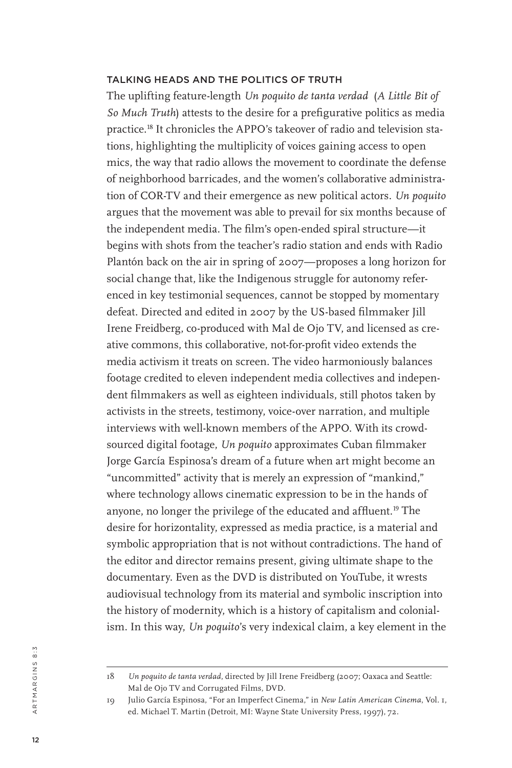## Talking Heads and the Politics of Truth

The uplifting feature-length *Un poquito de tanta verdad* (*A Little Bit of So Much Truth*) attests to the desire for a prefigurative politics as media practice.<sup>18</sup> It chronicles the APPO's takeover of radio and television stations, highlighting the multiplicity of voices gaining access to open mics, the way that radio allows the movement to coordinate the defense of neighborhood barricades, and the women's collaborative administration of COR-TV and their emergence as new political actors. *Un poquito* argues that the movement was able to prevail for six months because of the independent media. The film's open-ended spiral structure—it begins with shots from the teacher's radio station and ends with Radio Plantón back on the air in spring of 2007—proposes a long horizon for social change that, like the Indigenous struggle for autonomy referenced in key testimonial sequences, cannot be stopped by momentary defeat. Directed and edited in 2007 by the US-based filmmaker Jill Irene Freidberg, co-produced with Mal de Ojo TV, and licensed as creative commons, this collaborative, not-for-profit video extends the media activism it treats on screen. The video harmoniously balances footage credited to eleven independent media collectives and independent filmmakers as well as eighteen individuals, still photos taken by activists in the streets, testimony, voice-over narration, and multiple interviews with well-known members of the APPO. With its crowdsourced digital footage, *Un poquito* approximates Cuban filmmaker Jorge García Espinosa's dream of a future when art might become an "uncommitted" activity that is merely an expression of "mankind," where technology allows cinematic expression to be in the hands of anyone, no longer the privilege of the educated and affluent.<sup>19</sup> The desire for horizontality, expressed as media practice, is a material and symbolic appropriation that is not without contradictions. The hand of the editor and director remains present, giving ultimate shape to the documentary. Even as the DVD is distributed on YouTube, it wrests audiovisual technology from its material and symbolic inscription into the history of modernity, which is a history of capitalism and colonialism. In this way, *Un poquito*'s very indexical claim, a key element in the

<sup>18</sup> *Un poquito de tanta verdad*, directed by Jill Irene Freidberg (2007; Oaxaca and Seattle: Mal de Ojo TV and Corrugated Films, DVD.

<sup>19</sup> Julio García Espinosa, "For an Imperfect Cinema," in *New Latin American Cinema*, Vol. 1, ed. Michael T. Martin (Detroit, MI: Wayne State University Press, 1997), 72.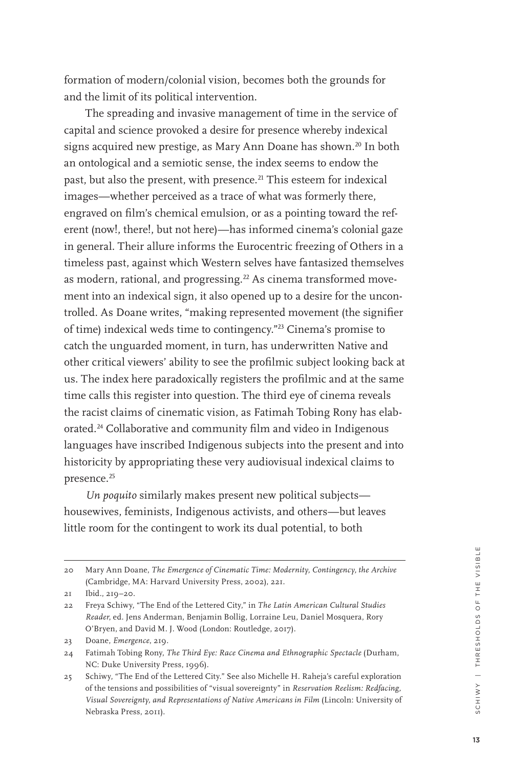formation of modern/colonial vision, becomes both the grounds for and the limit of its political intervention.

The spreading and invasive management of time in the service of capital and science provoked a desire for presence whereby indexical signs acquired new prestige, as Mary Ann Doane has shown.<sup>20</sup> In both an ontological and a semiotic sense, the index seems to endow the past, but also the present, with presence.<sup>21</sup> This esteem for indexical images—whether perceived as a trace of what was formerly there, engraved on film's chemical emulsion, or as a pointing toward the referent (now!, there!, but not here)—has informed cinema's colonial gaze in general. Their allure informs the Eurocentric freezing of Others in a timeless past, against which Western selves have fantasized themselves as modern, rational, and progressing.<sup>22</sup> As cinema transformed movement into an indexical sign, it also opened up to a desire for the uncontrolled. As Doane writes, "making represented movement (the signifier of time) indexical weds time to contingency."<sup>23</sup> Cinema's promise to catch the unguarded moment, in turn, has underwritten Native and other critical viewers' ability to see the profilmic subject looking back at us. The index here paradoxically registers the profilmic and at the same time calls this register into question. The third eye of cinema reveals the racist claims of cinematic vision, as Fatimah Tobing Rony has elaborated.<sup>24</sup> Collaborative and community film and video in Indigenous languages have inscribed Indigenous subjects into the present and into historicity by appropriating these very audiovisual indexical claims to presence.<sup>25</sup>

*Un poquito* similarly makes present new political subjects housewives, feminists, Indigenous activists, and others—but leaves little room for the contingent to work its dual potential, to both

<sup>20</sup> Mary Ann Doane, *The Emergence of Cinematic Time: Modernity, Contingency, the Archive* (Cambridge, MA: Harvard University Press, 2002), 221.

<sup>21</sup> Ibid., 219–20.

<sup>22</sup> Freya Schiwy, "The End of the Lettered City," in *The Latin American Cultural Studies Reader*, ed. Jens Anderman, Benjamin Bollig, Lorraine Leu, Daniel Mosquera, Rory O'Bryen, and David M. J. Wood (London: Routledge, 2017).

<sup>23</sup> Doane, *Emergence*, 219.

<sup>24</sup> Fatimah Tobing Rony, *The Third Eye: Race Cinema and Ethnographic Spectacle* (Durham, NC: Duke University Press, 1996).

<sup>25</sup> Schiwy, "The End of the Lettered City." See also Michelle H. Raheja's careful exploration of the tensions and possibilities of "visual sovereignty" in *Reservation Reelism: Redfacing, Visual Sovereignty, and Representations of Native Americans in Film* (Lincoln: University of Nebraska Press, 2011).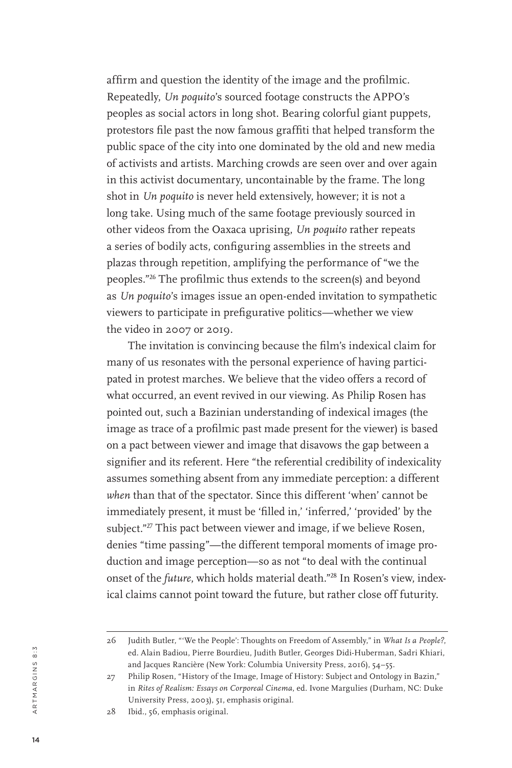affirm and question the identity of the image and the profilmic. Repeatedly, *Un poquito*'s sourced footage constructs the APPO's peoples as social actors in long shot. Bearing colorful giant puppets, protestors file past the now famous graffiti that helped transform the public space of the city into one dominated by the old and new media of activists and artists. Marching crowds are seen over and over again in this activist documentary, uncontainable by the frame. The long shot in *Un poquito* is never held extensively, however; it is not a long take. Using much of the same footage previously sourced in other videos from the Oaxaca uprising, *Un poquito* rather repeats a series of bodily acts, configuring assemblies in the streets and plazas through repetition, amplifying the performance of "we the peoples."<sup>26</sup> The profilmic thus extends to the screen(s) and beyond as *Un poquito*'s images issue an open-ended invitation to sympathetic viewers to participate in prefigurative politics—whether we view the video in 2007 or 2019.

The invitation is convincing because the film's indexical claim for many of us resonates with the personal experience of having participated in protest marches. We believe that the video offers a record of what occurred, an event revived in our viewing. As Philip Rosen has pointed out, such a Bazinian understanding of indexical images (the image as trace of a profilmic past made present for the viewer) is based on a pact between viewer and image that disavows the gap between a signifier and its referent. Here "the referential credibility of indexicality assumes something absent from any immediate perception: a different *when* than that of the spectator. Since this different 'when' cannot be immediately present, it must be 'filled in,' 'inferred,' 'provided' by the subject."<sup>27</sup> This pact between viewer and image, if we believe Rosen, denies "time passing"—the different temporal moments of image production and image perception—so as not "to deal with the continual onset of the *future*, which holds material death."<sup>28</sup> In Rosen's view, indexical claims cannot point toward the future, but rather close off futurity.

<sup>26</sup> Judith Butler, "'We the People': Thoughts on Freedom of Assembly," in *What Is a People?*, ed. Alain Badiou, Pierre Bourdieu, Judith Butler, Georges Didi-Huberman, Sadri Khiari, and Jacques Rancière (New York: Columbia University Press, 2016), 54–55.

<sup>27</sup> Philip Rosen, "History of the Image, Image of History: Subject and Ontology in Bazin," in *Rites of Realism: Essays on Corporeal Cinema*, ed. Ivone Margulies (Durham, NC: Duke University Press, 2003), 51, emphasis original.

<sup>28</sup> Ibid., 56, emphasis original.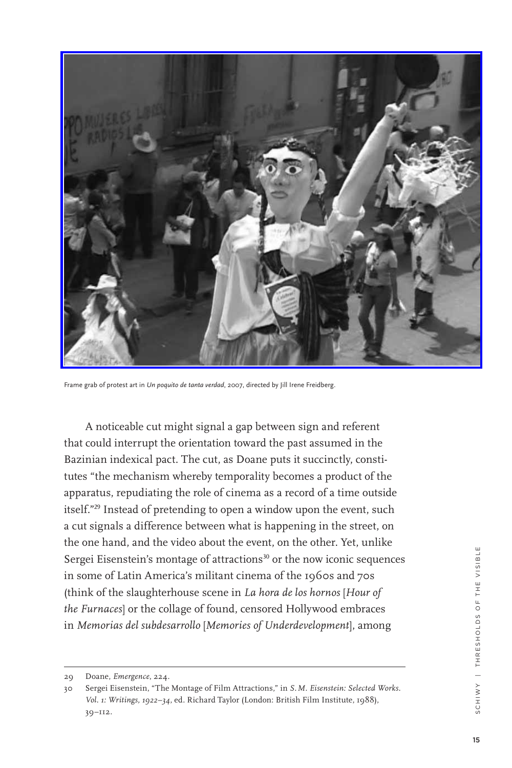

Frame grab of protest art in *Un poquito de tanta verdad*, 2007, directed by Jill Irene Freidberg.

A noticeable cut might signal a gap between sign and referent that could interrupt the orientation toward the past assumed in the Bazinian indexical pact. The cut, as Doane puts it succinctly, constitutes "the mechanism whereby temporality becomes a product of the apparatus, repudiating the role of cinema as a record of a time outside itself."<sup>29</sup> Instead of pretending to open a window upon the event, such a cut signals a difference between what is happening in the street, on the one hand, and the video about the event, on the other. Yet, unlike Sergei Eisenstein's montage of attractions<sup>30</sup> or the now iconic sequences in some of Latin America's militant cinema of the 1960s and 70s (think of the slaughterhouse scene in *La hora de los hornos* [*Hour of the Furnaces*] or the collage of found, censored Hollywood embraces in *Memorias del subdesarrollo* [*Memories of Underdevelopment*], among

<sup>29</sup> Doane, *Emergence*, 224.

<sup>30</sup> Sergei Eisenstein, "The Montage of Film Attractions," in *S.M. Eisenstein: Selected Works. Vol. 1: Writings, 1922–34*, ed. Richard Taylor (London: British Film Institute, 1988), 39–112.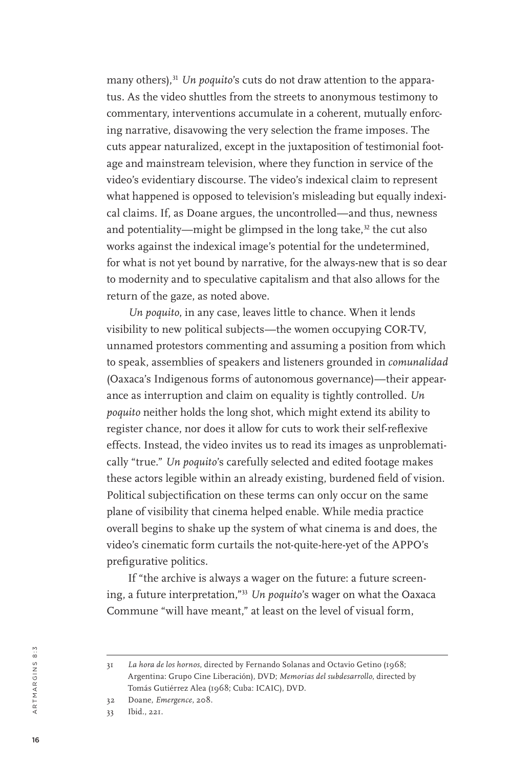many others),<sup>31</sup> *Un poquito*'s cuts do not draw attention to the apparatus. As the video shuttles from the streets to anonymous testimony to commentary, interventions accumulate in a coherent, mutually enforcing narrative, disavowing the very selection the frame imposes. The cuts appear naturalized, except in the juxtaposition of testimonial footage and mainstream television, where they function in service of the video's evidentiary discourse. The video's indexical claim to represent what happened is opposed to television's misleading but equally indexical claims. If, as Doane argues, the uncontrolled—and thus, newness and potentiality—might be glimpsed in the long take, $32$  the cut also works against the indexical image's potential for the undetermined, for what is not yet bound by narrative, for the always-new that is so dear to modernity and to speculative capitalism and that also allows for the return of the gaze, as noted above.

*Un poquito*, in any case, leaves little to chance. When it lends visibility to new political subjects—the women occupying COR-TV, unnamed protestors commenting and assuming a position from which to speak, assemblies of speakers and listeners grounded in *comunalidad* (Oaxaca's Indigenous forms of autonomous governance)—their appearance as interruption and claim on equality is tightly controlled. *Un poquito* neither holds the long shot, which might extend its ability to register chance, nor does it allow for cuts to work their self-reflexive effects. Instead, the video invites us to read its images as unproblematically "true." *Un poquito*'s carefully selected and edited footage makes these actors legible within an already existing, burdened field of vision. Political subjectification on these terms can only occur on the same plane of visibility that cinema helped enable. While media practice overall begins to shake up the system of what cinema is and does, the video's cinematic form curtails the not-quite-here-yet of the APPO's prefigurative politics.

If "the archive is always a wager on the future: a future screening, a future interpretation,"<sup>33</sup> *Un poquito*'s wager on what the Oaxaca Commune "will have meant," at least on the level of visual form,

<sup>31</sup> *La hora de los hornos*, directed by Fernando Solanas and Octavio Getino (1968; Argentina: Grupo Cine Liberación), DVD; *Memorias del subdesarrollo*, directed by Tomás Gutiérrez Alea (1968; Cuba: ICAIC), DVD.

<sup>32</sup> Doane, *Emergence*, 208.

<sup>33</sup> Ibid., 221.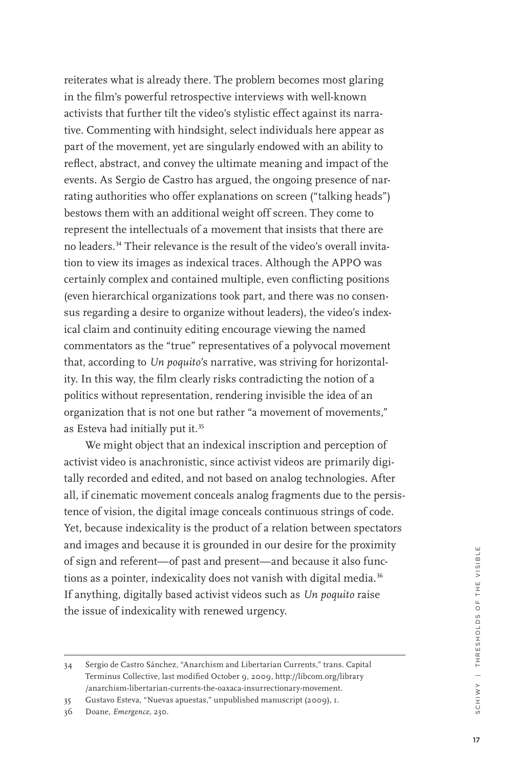reiterates what is already there. The problem becomes most glaring in the film's powerful retrospective interviews with well-known activists that further tilt the video's stylistic effect against its narrative. Commenting with hindsight, select individuals here appear as part of the movement, yet are singularly endowed with an ability to reflect, abstract, and convey the ultimate meaning and impact of the events. As Sergio de Castro has argued, the ongoing presence of narrating authorities who offer explanations on screen ("talking heads") bestows them with an additional weight off screen. They come to represent the intellectuals of a movement that insists that there are no leaders.<sup>34</sup> Their relevance is the result of the video's overall invitation to view its images as indexical traces. Although the APPO was certainly complex and contained multiple, even conflicting positions (even hierarchical organizations took part, and there was no consensus regarding a desire to organize without leaders), the video's indexical claim and continuity editing encourage viewing the named commentators as the "true" representatives of a polyvocal movement that, according to *Un poquito*'s narrative, was striving for horizontality. In this way, the film clearly risks contradicting the notion of a politics without representation, rendering invisible the idea of an organization that is not one but rather "a movement of movements," as Esteva had initially put it.<sup>35</sup>

We might object that an indexical inscription and perception of activist video is anachronistic, since activist videos are primarily digitally recorded and edited, and not based on analog technologies. After all, if cinematic movement conceals analog fragments due to the persistence of vision, the digital image conceals continuous strings of code. Yet, because indexicality is the product of a relation between spectators and images and because it is grounded in our desire for the proximity of sign and referent—of past and present—and because it also functions as a pointer, indexicality does not vanish with digital media.<sup>36</sup> If anything, digitally based activist videos such as *Un poquito* raise the issue of indexicality with renewed urgency.

<sup>34</sup> Sergio de Castro Sánchez, "Anarchism and Libertarian Currents," trans. Capital Terminus Collective, last modified October 9, 2009, http://libcom.org/library /anarchism-libertarian-currents-the-oaxaca-insurrectionary-movement.

<sup>35</sup> Gustavo Esteva, "Nuevas apuestas," unpublished manuscript (2009), 1.

<sup>36</sup> Doane, *Emergence*, 230.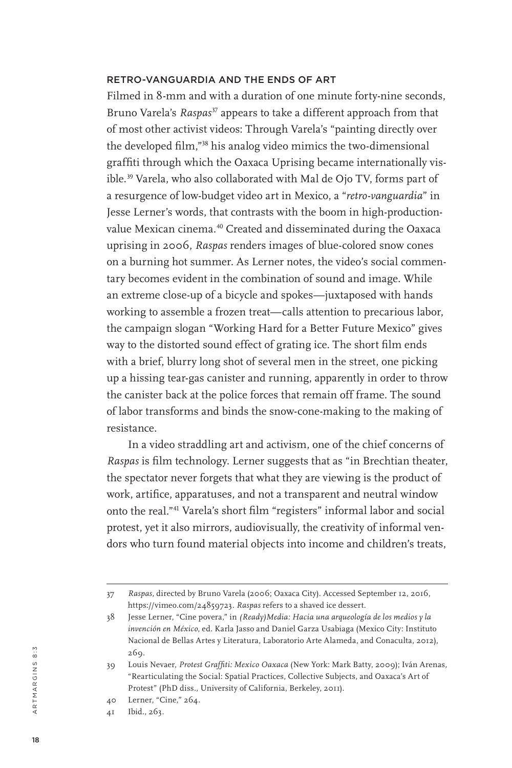## Retro-Vanguardia and the Ends of Art

Filmed in 8-mm and with a duration of one minute forty-nine seconds, Bruno Varela's *Raspas*<sup>37</sup> appears to take a different approach from that of most other activist videos: Through Varela's "painting directly over the developed film,"<sup>38</sup> his analog video mimics the two-dimensional graffiti through which the Oaxaca Uprising became internationally visible.<sup>39</sup> Varela, who also collaborated with Mal de Ojo TV, forms part of a resurgence of low-budget video art in Mexico, a "*retro-vanguardia*" in Jesse Lerner's words, that contrasts with the boom in high-productionvalue Mexican cinema.<sup>40</sup> Created and disseminated during the Oaxaca uprising in 2006, *Raspas* renders images of blue-colored snow cones on a burning hot summer. As Lerner notes, the video's social commentary becomes evident in the combination of sound and image. While an extreme close-up of a bicycle and spokes—juxtaposed with hands working to assemble a frozen treat—calls attention to precarious labor, the campaign slogan "Working Hard for a Better Future Mexico" gives way to the distorted sound effect of grating ice. The short film ends with a brief, blurry long shot of several men in the street, one picking up a hissing tear-gas canister and running, apparently in order to throw the canister back at the police forces that remain off frame. The sound of labor transforms and binds the snow-cone-making to the making of resistance.

In a video straddling art and activism, one of the chief concerns of *Raspas* is film technology. Lerner suggests that as "in Brechtian theater, the spectator never forgets that what they are viewing is the product of work, artifice, apparatuses, and not a transparent and neutral window onto the real."<sup>41</sup> Varela's short film "registers" informal labor and social protest, yet it also mirrors, audiovisually, the creativity of informal vendors who turn found material objects into income and children's treats,

<sup>37</sup> *Raspas*, directed by Bruno Varela (2006; Oaxaca City). Accessed September 12, 2016, https://vimeo.com/24859723. *Raspas* refers to a shaved ice dessert.

<sup>38</sup> Jesse Lerner, "Cine povera," in *(Ready)Media: Hacia una arqueología de los medios y la invención en México*, ed. Karla Jasso and Daniel Garza Usabiaga (Mexico City: Instituto Nacional de Bellas Artes y Literatura, Laboratorio Arte Alameda, and Conaculta, 2012), 269.

<sup>39</sup> Louis Nevaer, *Protest Graffiti: Mexico Oaxaca* (New York: Mark Batty, 2009); Iván Arenas, "Rearticulating the Social: Spatial Practices, Collective Subjects, and Oaxaca's Art of Protest" (PhD diss., University of California, Berkeley, 2011).

<sup>40</sup> Lerner, "Cine," 264.

<sup>41</sup> Ibid., 263.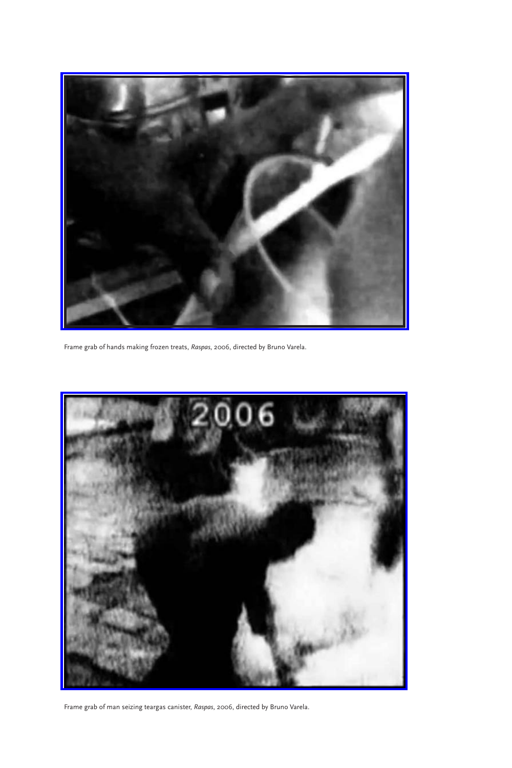

Frame grab of hands making frozen treats, *Raspas*, 2006, directed by Bruno Varela.



Frame grab of man seizing teargas canister, *Raspas*, 2006, directed by Bruno Varela.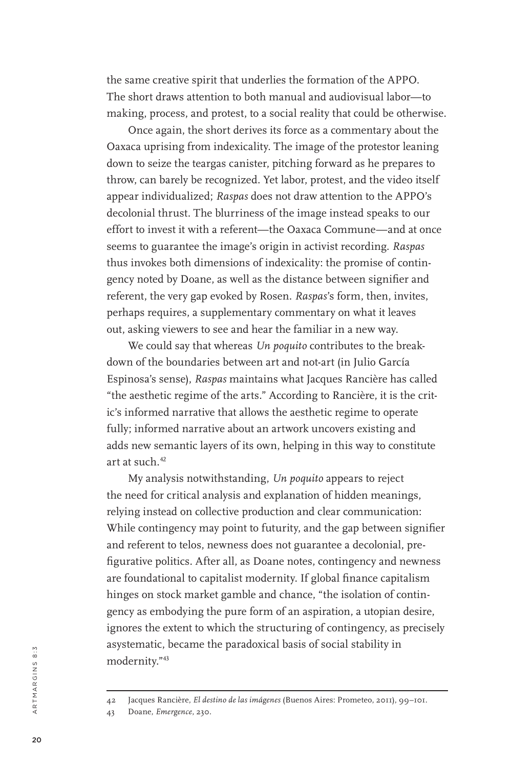the same creative spirit that underlies the formation of the APPO. The short draws attention to both manual and audiovisual labor—to making, process, and protest, to a social reality that could be otherwise.

Once again, the short derives its force as a commentary about the Oaxaca uprising from indexicality. The image of the protestor leaning down to seize the teargas canister, pitching forward as he prepares to throw, can barely be recognized. Yet labor, protest, and the video itself appear individualized; *Raspas* does not draw attention to the APPO's decolonial thrust. The blurriness of the image instead speaks to our effort to invest it with a referent—the Oaxaca Commune—and at once seems to guarantee the image's origin in activist recording. *Raspas* thus invokes both dimensions of indexicality: the promise of contingency noted by Doane, as well as the distance between signifier and referent, the very gap evoked by Rosen. *Raspas*'s form, then, invites, perhaps requires, a supplementary commentary on what it leaves out, asking viewers to see and hear the familiar in a new way.

We could say that whereas *Un poquito* contributes to the breakdown of the boundaries between art and not-art (in Julio García Espinosa's sense), *Raspas* maintains what Jacques Rancière has called "the aesthetic regime of the arts." According to Rancière, it is the critic's informed narrative that allows the aesthetic regime to operate fully; informed narrative about an artwork uncovers existing and adds new semantic layers of its own, helping in this way to constitute art at such.<sup>42</sup>

My analysis notwithstanding, *Un poquito* appears to reject the need for critical analysis and explanation of hidden meanings, relying instead on collective production and clear communication: While contingency may point to futurity, and the gap between signifier and referent to telos, newness does not guarantee a decolonial, prefigurative politics. After all, as Doane notes, contingency and newness are foundational to capitalist modernity. If global finance capitalism hinges on stock market gamble and chance, "the isolation of contingency as embodying the pure form of an aspiration, a utopian desire, ignores the extent to which the structuring of contingency, as precisely asystematic, became the paradoxical basis of social stability in modernity."<sup>43</sup>

<sup>42</sup> Jacques Rancière, *El destino de las imágenes* (Buenos Aires: Prometeo, 2011), 99–101.

<sup>43</sup> Doane, *Emergence*, 230.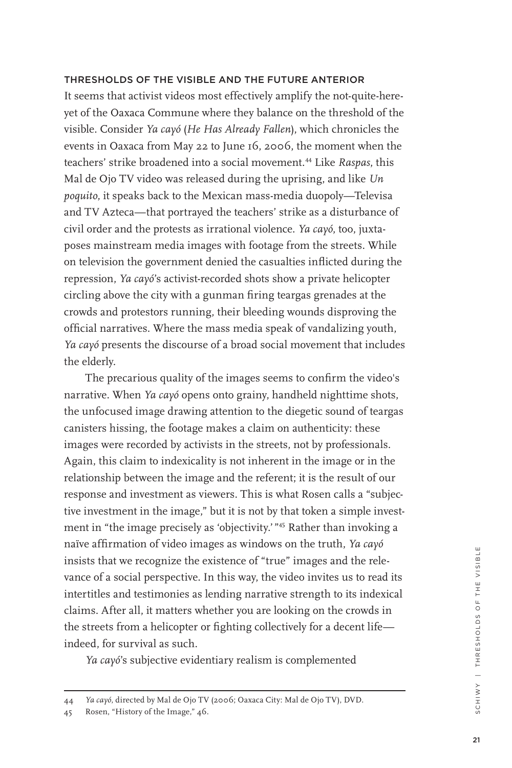## Thresholds of the Visible and the Future Anterior

It seems that activist videos most effectively amplify the not-quite-hereyet of the Oaxaca Commune where they balance on the threshold of the visible. Consider *Ya cayó* (*He Has Already Fallen*), which chronicles the events in Oaxaca from May 22 to June 16, 2006, the moment when the teachers' strike broadened into a social movement.<sup>44</sup> Like *Raspas*, this Mal de Ojo TV video was released during the uprising, and like *Un poquito*, it speaks back to the Mexican mass-media duopoly—Televisa and TV Azteca—that portrayed the teachers' strike as a disturbance of civil order and the protests as irrational violence. *Ya cayó*, too, juxtaposes mainstream media images with footage from the streets. While on television the government denied the casualties inflicted during the repression, *Ya cayó*'s activist-recorded shots show a private helicopter circling above the city with a gunman firing teargas grenades at the crowds and protestors running, their bleeding wounds disproving the official narratives. Where the mass media speak of vandalizing youth, *Ya cayó* presents the discourse of a broad social movement that includes the elderly.

The precarious quality of the images seems to confirm the video's narrative. When *Ya cayó* opens onto grainy, handheld nighttime shots, the unfocused image drawing attention to the diegetic sound of teargas canisters hissing, the footage makes a claim on authenticity: these images were recorded by activists in the streets, not by professionals. Again, this claim to indexicality is not inherent in the image or in the relationship between the image and the referent; it is the result of our response and investment as viewers. This is what Rosen calls a "subjective investment in the image," but it is not by that token a simple investment in "the image precisely as 'objectivity.' "<sup>45</sup> Rather than invoking a naïve affirmation of video images as windows on the truth, *Ya cayó* insists that we recognize the existence of "true" images and the relevance of a social perspective. In this way, the video invites us to read its intertitles and testimonies as lending narrative strength to its indexical claims. After all, it matters whether you are looking on the crowds in the streets from a helicopter or fighting collectively for a decent life indeed, for survival as such.

*Ya cayó*'s subjective evidentiary realism is complemented

<sup>44</sup> *Ya cayó*, directed by Mal de Ojo TV (2006; Oaxaca City: Mal de Ojo TV), DVD.

<sup>45</sup> Rosen, "History of the Image," 46.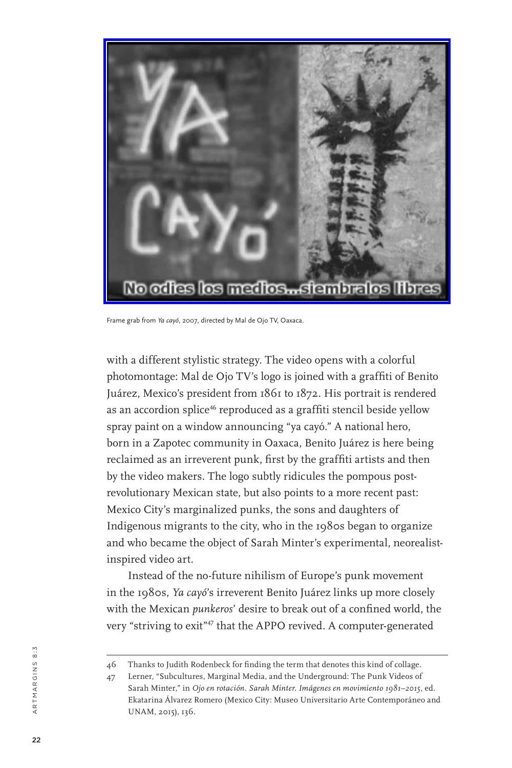

Frame grab from *Ya cayó*, 2007, directed by Mal de Ojo TV, Oaxaca.

with a different stylistic strategy. The video opens with a colorful photomontage: Mal de Ojo TV's logo is joined with a graffiti of Benito Juárez, Mexico's president from 1861 to 1872. His portrait is rendered as an accordion splice<sup>46</sup> reproduced as a graffiti stencil beside yellow spray paint on a window announcing "ya cayó." A national hero, born in a Zapotec community in Oaxaca, Benito Juárez is here being reclaimed as an irreverent punk, first by the graffiti artists and then by the video makers. The logo subtly ridicules the pompous postrevolutionary Mexican state, but also points to a more recent past: Mexico City's marginalized punks, the sons and daughters of Indigenous migrants to the city, who in the 1980s began to organize and who became the object of Sarah Minter's experimental, neorealistinspired video art.

Instead of the no-future nihilism of Europe's punk movement in the 1980s, *Ya cayó*'s irreverent Benito Juárez links up more closely with the Mexican *punkeros*' desire to break out of a confined world, the very "striving to exit"<sup>47</sup> that the APPO revived. A computer-generated

<sup>46</sup> Thanks to Judith Rodenbeck for finding the term that denotes this kind of collage.

<sup>47</sup> Lerner, "Subcultures, Marginal Media, and the Underground: The Punk Videos of Sarah Minter," in *Ojo en rotación. Sarah Minter. Imágenes en movimiento 1981–2015*, ed. Ekatarina Álvarez Romero (Mexico City: Museo Universitario Arte Contemporáneo and UNAM, 2015), 136.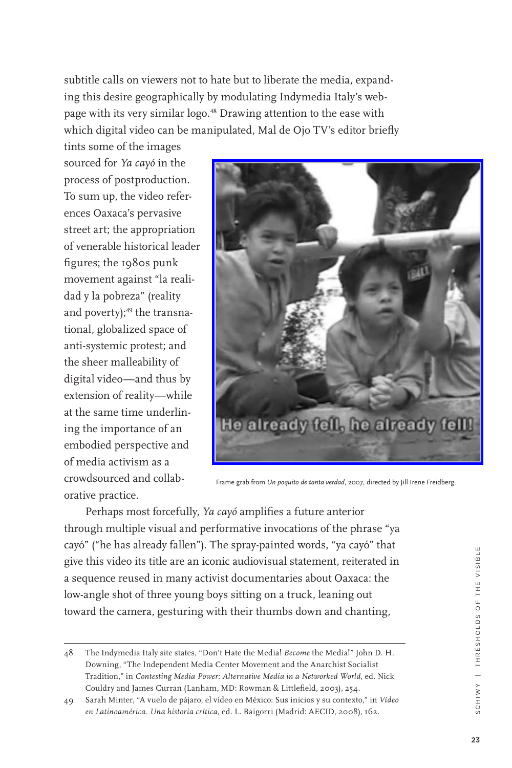subtitle calls on viewers not to hate but to liberate the media, expanding this desire geographically by modulating Indymedia Italy's webpage with its very similar logo.<sup>48</sup> Drawing attention to the ease with which digital video can be manipulated, Mal de Ojo TV's editor briefly

tints some of the images sourced for *Ya cayó* in the process of postproduction. To sum up, the video references Oaxaca's pervasive street art; the appropriation of venerable historical leader figures; the 1980s punk movement against "la realidad y la pobreza" (reality and poverty); $49$  the transnational, globalized space of anti-systemic protest; and the sheer malleability of digital video—and thus by extension of reality—while at the same time underlining the importance of an embodied perspective and of media activism as a crowdsourced and collaborative practice.



Frame grab from *Un poquito de tanta verdad*, 2007, directed by Jill Irene Freidberg.

Perhaps most forcefully, *Ya cayó* amplifies a future anterior through multiple visual and performative invocations of the phrase "ya cayó" ("he has already fallen"). The spray-painted words, "ya cayó" that give this video its title are an iconic audiovisual statement, reiterated in a sequence reused in many activist documentaries about Oaxaca: the low-angle shot of three young boys sitting on a truck, leaning out toward the camera, gesturing with their thumbs down and chanting,

<sup>48</sup> The Indymedia Italy site states, "Don't Hate the Media! *Become* the Media!" John D. H. Downing, "The Independent Media Center Movement and the Anarchist Socialist Tradition," in *Contesting Media Power: Alternative Media in a Networked World*, ed. Nick Couldry and James Curran (Lanham, MD: Rowman & Littlefield, 2003), 254.

<sup>49</sup> Sarah Minter, "A vuelo de pájaro, el vídeo en México: Sus inicios y su contexto," in *Vídeo en Latinoamérica. Una historia crítica*, ed. L. Baigorri (Madrid: AECID, 2008), 162.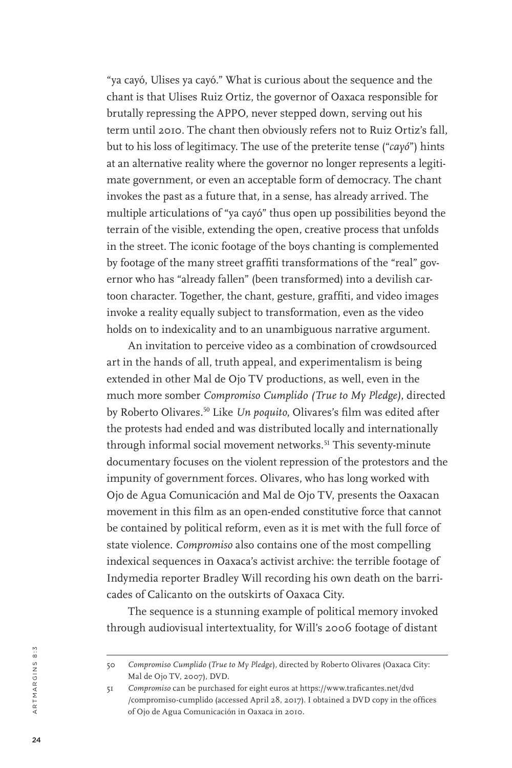"ya cayó, Ulises ya cayó." What is curious about the sequence and the chant is that Ulises Ruiz Ortiz, the governor of Oaxaca responsible for brutally repressing the APPO, never stepped down, serving out his term until 2010. The chant then obviously refers not to Ruiz Ortiz's fall, but to his loss of legitimacy. The use of the preterite tense ("*cayó*") hints at an alternative reality where the governor no longer represents a legitimate government, or even an acceptable form of democracy. The chant invokes the past as a future that, in a sense, has already arrived. The multiple articulations of "ya cayó" thus open up possibilities beyond the terrain of the visible, extending the open, creative process that unfolds in the street. The iconic footage of the boys chanting is complemented by footage of the many street graffiti transformations of the "real" governor who has "already fallen" (been transformed) into a devilish cartoon character. Together, the chant, gesture, graffiti, and video images invoke a reality equally subject to transformation, even as the video holds on to indexicality and to an unambiguous narrative argument.

An invitation to perceive video as a combination of crowdsourced art in the hands of all, truth appeal, and experimentalism is being extended in other Mal de Ojo TV productions, as well, even in the much more somber *Compromiso Cumplido (True to My Pledge)*, directed by Roberto Olivares.<sup>50</sup> Like *Un poquito*, Olivares's film was edited after the protests had ended and was distributed locally and internationally through informal social movement networks.<sup>51</sup> This seventy-minute documentary focuses on the violent repression of the protestors and the impunity of government forces. Olivares, who has long worked with Ojo de Agua Comunicación and Mal de Ojo TV, presents the Oaxacan movement in this film as an open-ended constitutive force that cannot be contained by political reform, even as it is met with the full force of state violence. *Compromiso* also contains one of the most compelling indexical sequences in Oaxaca's activist archive: the terrible footage of Indymedia reporter Bradley Will recording his own death on the barricades of Calicanto on the outskirts of Oaxaca City.

The sequence is a stunning example of political memory invoked through audiovisual intertextuality, for Will's 2006 footage of distant

<sup>50</sup> *Compromiso Cumplido* (*True to My Pledge*), directed by Roberto Olivares (Oaxaca City: Mal de Ojo TV, 2007), DVD.

<sup>51</sup> *Compromiso* can be purchased for eight euros at https://www.traficantes.net/dvd /compromiso-cumplido (accessed April 28, 2017). I obtained a DVD copy in the offices of Ojo de Agua Comunicación in Oaxaca in 2010.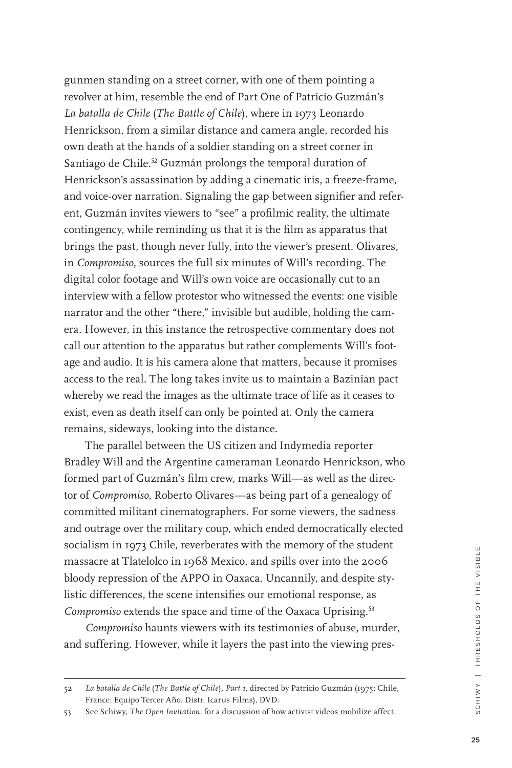gunmen standing on a street corner, with one of them pointing a revolver at him, resemble the end of Part One of Patricio Guzmán's *La batalla de Chile* (*The Battle of Chile*), where in 1973 Leonardo Henrickson, from a similar distance and camera angle, recorded his own death at the hands of a soldier standing on a street corner in Santiago de Chile.<sup>52</sup> Guzmán prolongs the temporal duration of Henrickson's assassination by adding a cinematic iris, a freeze-frame, and voice-over narration. Signaling the gap between signifier and referent, Guzmán invites viewers to "see" a profilmic reality, the ultimate contingency, while reminding us that it is the film as apparatus that brings the past, though never fully, into the viewer's present. Olivares, in *Compromiso*, sources the full six minutes of Will's recording. The digital color footage and Will's own voice are occasionally cut to an interview with a fellow protestor who witnessed the events: one visible narrator and the other "there," invisible but audible, holding the camera. However, in this instance the retrospective commentary does not call our attention to the apparatus but rather complements Will's footage and audio. It is his camera alone that matters, because it promises access to the real. The long takes invite us to maintain a Bazinian pact whereby we read the images as the ultimate trace of life as it ceases to exist, even as death itself can only be pointed at. Only the camera remains, sideways, looking into the distance.

The parallel between the US citizen and Indymedia reporter Bradley Will and the Argentine cameraman Leonardo Henrickson, who formed part of Guzmán's film crew, marks Will—as well as the director of *Compromiso*, Roberto Olivares—as being part of a genealogy of committed militant cinematographers. For some viewers, the sadness and outrage over the military coup, which ended democratically elected socialism in 1973 Chile, reverberates with the memory of the student massacre at Tlatelolco in 1968 Mexico, and spills over into the 2006 bloody repression of the APPO in Oaxaca. Uncannily, and despite stylistic differences, the scene intensifies our emotional response, as *Compromiso* extends the space and time of the Oaxaca Uprising.<sup>53</sup>

*Compromiso* haunts viewers with its testimonies of abuse, murder, and suffering. However, while it layers the past into the viewing pres-

<sup>52</sup> *La batalla de Chile* (*The Battle of Chile*)*, Part 1*, directed by Patricio Guzmán (1975; Chile, France: Equipo Tercer Año. Distr. Icarus Films), DVD.

<sup>53</sup> See Schiwy, *The Open Invitation*, for a discussion of how activist videos mobilize affect.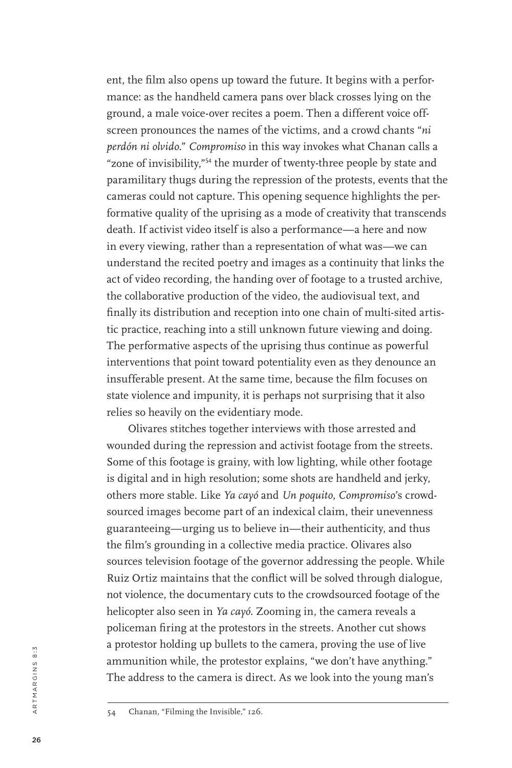ent, the film also opens up toward the future. It begins with a performance: as the handheld camera pans over black crosses lying on the ground, a male voice-over recites a poem. Then a different voice offscreen pronounces the names of the victims, and a crowd chants "*ni perdón ni olvido*." *Compromiso* in this way invokes what Chanan calls a "zone of invisibility,"<sup>54</sup> the murder of twenty-three people by state and paramilitary thugs during the repression of the protests, events that the cameras could not capture. This opening sequence highlights the performative quality of the uprising as a mode of creativity that transcends death. If activist video itself is also a performance—a here and now in every viewing, rather than a representation of what was—we can understand the recited poetry and images as a continuity that links the act of video recording, the handing over of footage to a trusted archive, the collaborative production of the video, the audiovisual text, and finally its distribution and reception into one chain of multi-sited artistic practice, reaching into a still unknown future viewing and doing. The performative aspects of the uprising thus continue as powerful interventions that point toward potentiality even as they denounce an insufferable present. At the same time, because the film focuses on state violence and impunity, it is perhaps not surprising that it also relies so heavily on the evidentiary mode.

Olivares stitches together interviews with those arrested and wounded during the repression and activist footage from the streets. Some of this footage is grainy, with low lighting, while other footage is digital and in high resolution; some shots are handheld and jerky, others more stable. Like *Ya cayó* and *Un poquito*, *Compromiso*'s crowdsourced images become part of an indexical claim, their unevenness guaranteeing—urging us to believe in—their authenticity, and thus the film's grounding in a collective media practice. Olivares also sources television footage of the governor addressing the people. While Ruiz Ortiz maintains that the conflict will be solved through dialogue, not violence, the documentary cuts to the crowdsourced footage of the helicopter also seen in *Ya cayó*. Zooming in, the camera reveals a policeman firing at the protestors in the streets. Another cut shows a protestor holding up bullets to the camera, proving the use of live ammunition while, the protestor explains, "we don't have anything." The address to the camera is direct. As we look into the young man's

<sup>54</sup> Chanan, "Filming the Invisible," 126.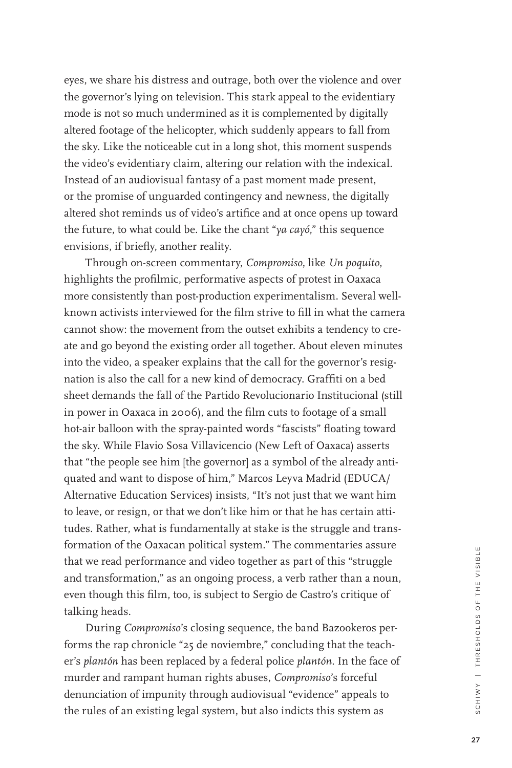eyes, we share his distress and outrage, both over the violence and over the governor's lying on television. This stark appeal to the evidentiary mode is not so much undermined as it is complemented by digitally altered footage of the helicopter, which suddenly appears to fall from the sky. Like the noticeable cut in a long shot, this moment suspends the video's evidentiary claim, altering our relation with the indexical. Instead of an audiovisual fantasy of a past moment made present, or the promise of unguarded contingency and newness, the digitally altered shot reminds us of video's artifice and at once opens up toward the future, to what could be. Like the chant "*ya cayó*," this sequence envisions, if briefly, another reality.

Through on-screen commentary, *Compromiso*, like *Un poquito*, highlights the profilmic, performative aspects of protest in Oaxaca more consistently than post-production experimentalism. Several wellknown activists interviewed for the film strive to fill in what the camera cannot show: the movement from the outset exhibits a tendency to create and go beyond the existing order all together. About eleven minutes into the video, a speaker explains that the call for the governor's resignation is also the call for a new kind of democracy. Graffiti on a bed sheet demands the fall of the Partido Revolucionario Institucional (still in power in Oaxaca in 2006), and the film cuts to footage of a small hot-air balloon with the spray-painted words "fascists" floating toward the sky. While Flavio Sosa Villavicencio (New Left of Oaxaca) asserts that "the people see him [the governor] as a symbol of the already antiquated and want to dispose of him," Marcos Leyva Madrid (EDUCA/ Alternative Education Services) insists, "It's not just that we want him to leave, or resign, or that we don't like him or that he has certain attitudes. Rather, what is fundamentally at stake is the struggle and transformation of the Oaxacan political system." The commentaries assure that we read performance and video together as part of this "struggle and transformation," as an ongoing process, a verb rather than a noun, even though this film, too, is subject to Sergio de Castro's critique of talking heads.

During *Compromiso*'s closing sequence, the band Bazookeros performs the rap chronicle "25 de noviembre," concluding that the teacher's *plantón* has been replaced by a federal police *plantón*. In the face of murder and rampant human rights abuses, *Compromiso*'s forceful denunciation of impunity through audiovisual "evidence" appeals to the rules of an existing legal system, but also indicts this system as